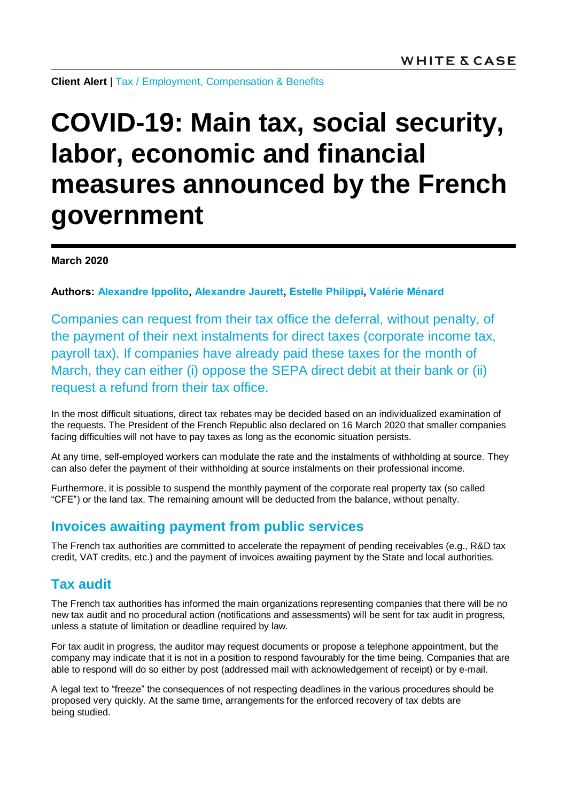**Client Alert** | [Tax](https://www.whitecase.com/law/practices/tax) / [Employment, Compensation & Benefits](https://www.whitecase.com/law/practices/employment-compensation-benefits)

# **COVID-19: Main tax, social security, labor, economic and financial measures announced by the French government**

**March 2020**

**Authors: [Alexandre Ippolito,](https://www.whitecase.com/people/alexandre-ippolito) [Alexandre Jaurett,](https://www.whitecase.com/people/alexandre-jaurett) [Estelle Philippi,](https://www.whitecase.com/people/estelle-philippi) [Valérie Ménard](https://www.whitecase.com/people/valerie-menard)**

Companies can request from their tax office the deferral, without penalty, of the payment of their next instalments for direct taxes (corporate income tax, payroll tax). If companies have already paid these taxes for the month of March, they can either (i) oppose the SEPA direct debit at their bank or (ii) request a refund from their tax office.

In the most difficult situations, direct tax rebates may be decided based on an individualized examination of the requests. The President of the French Republic also declared on 16 March 2020 that smaller companies facing difficulties will not have to pay taxes as long as the economic situation persists.

At any time, self-employed workers can modulate the rate and the instalments of withholding at source. They can also defer the payment of their withholding at source instalments on their professional income.

Furthermore, it is possible to suspend the monthly payment of the corporate real property tax (so called "CFE") or the land tax. The remaining amount will be deducted from the balance, without penalty.

# **Invoices awaiting payment from public services**

The French tax authorities are committed to accelerate the repayment of pending receivables (e.g., R&D tax credit, VAT credits, etc.) and the payment of invoices awaiting payment by the State and local authorities.

## **Tax audit**

The French tax authorities has informed the main organizations representing companies that there will be no new tax audit and no procedural action (notifications and assessments) will be sent for tax audit in progress, unless a statute of limitation or deadline required by law.

For tax audit in progress, the auditor may request documents or propose a telephone appointment, but the company may indicate that it is not in a position to respond favourably for the time being. Companies that are able to respond will do so either by post (addressed mail with acknowledgement of receipt) or by e-mail.

A legal text to "freeze" the consequences of not respecting deadlines in the various procedures should be proposed very quickly. At the same time, arrangements for the enforced recovery of tax debts are being studied.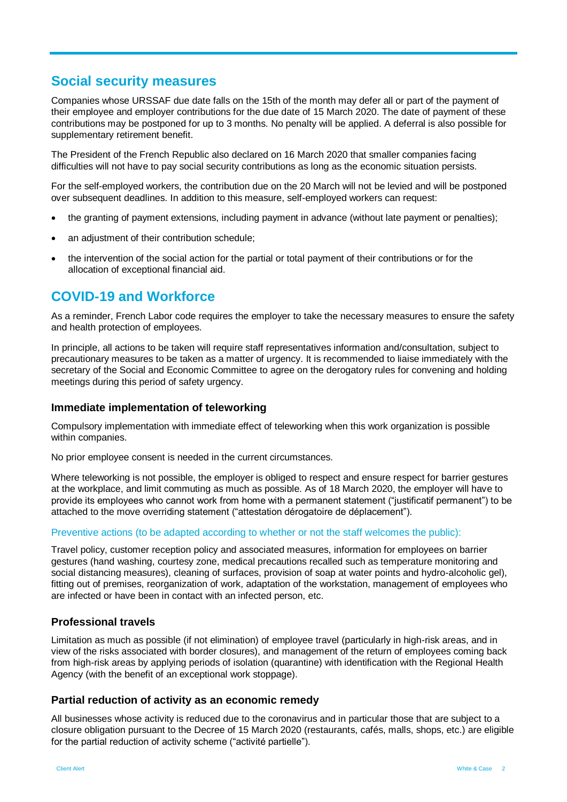# **Social security measures**

Companies whose URSSAF due date falls on the 15th of the month may defer all or part of the payment of their employee and employer contributions for the due date of 15 March 2020. The date of payment of these contributions may be postponed for up to 3 months. No penalty will be applied. A deferral is also possible for supplementary retirement benefit.

The President of the French Republic also declared on 16 March 2020 that smaller companies facing difficulties will not have to pay social security contributions as long as the economic situation persists.

For the self-employed workers, the contribution due on the 20 March will not be levied and will be postponed over subsequent deadlines. In addition to this measure, self-employed workers can request:

- the granting of payment extensions, including payment in advance (without late payment or penalties);
- an adjustment of their contribution schedule;
- the intervention of the social action for the partial or total payment of their contributions or for the allocation of exceptional financial aid.

# **COVID-19 and Workforce**

As a reminder, French Labor code requires the employer to take the necessary measures to ensure the safety and health protection of employees.

In principle, all actions to be taken will require staff representatives information and/consultation, subject to precautionary measures to be taken as a matter of urgency. It is recommended to liaise immediately with the secretary of the Social and Economic Committee to agree on the derogatory rules for convening and holding meetings during this period of safety urgency.

## **Immediate implementation of teleworking**

Compulsory implementation with immediate effect of teleworking when this work organization is possible within companies.

No prior employee consent is needed in the current circumstances.

Where teleworking is not possible, the employer is obliged to respect and ensure respect for barrier gestures at the workplace, and limit commuting as much as possible. As of 18 March 2020, the employer will have to provide its employees who cannot work from home with a permanent statement ("justificatif permanent") to be attached to the move overriding statement ("attestation dérogatoire de déplacement").

#### Preventive actions (to be adapted according to whether or not the staff welcomes the public):

Travel policy, customer reception policy and associated measures, information for employees on barrier gestures (hand washing, courtesy zone, medical precautions recalled such as temperature monitoring and social distancing measures), cleaning of surfaces, provision of soap at water points and hydro-alcoholic gel), fitting out of premises, reorganization of work, adaptation of the workstation, management of employees who are infected or have been in contact with an infected person, etc.

## **Professional travels**

Limitation as much as possible (if not elimination) of employee travel (particularly in high-risk areas, and in view of the risks associated with border closures), and management of the return of employees coming back from high-risk areas by applying periods of isolation (quarantine) with identification with the Regional Health Agency (with the benefit of an exceptional work stoppage).

#### **Partial reduction of activity as an economic remedy**

All businesses whose activity is reduced due to the coronavirus and in particular those that are subject to a closure obligation pursuant to the Decree of 15 March 2020 (restaurants, cafés, malls, shops, etc.) are eligible for the partial reduction of activity scheme ("activité partielle").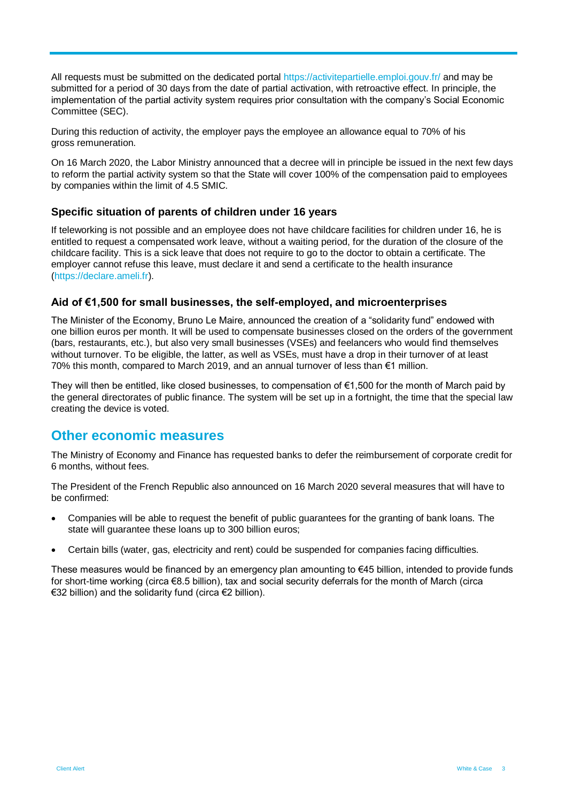All requests must be submitted on the dedicated portal<https://activitepartielle.emploi.gouv.fr/> and may be submitted for a period of 30 days from the date of partial activation, with retroactive effect. In principle, the implementation of the partial activity system requires prior consultation with the company's Social Economic Committee (SEC).

During this reduction of activity, the employer pays the employee an allowance equal to 70% of his gross remuneration.

On 16 March 2020, the Labor Ministry announced that a decree will in principle be issued in the next few days to reform the partial activity system so that the State will cover 100% of the compensation paid to employees by companies within the limit of 4.5 SMIC.

## **Specific situation of parents of children under 16 years**

If teleworking is not possible and an employee does not have childcare facilities for children under 16, he is entitled to request a compensated work leave, without a waiting period, for the duration of the closure of the childcare facility. This is a sick leave that does not require to go to the doctor to obtain a certificate. The employer cannot refuse this leave, must declare it and send a certificate to the health insurance [\(https://declare.ameli.fr\)](https://declare.ameli.fr/).

## **Aid of €1,500 for small businesses, the self-employed, and microenterprises**

The Minister of the Economy, Bruno Le Maire, announced the creation of a "solidarity fund" endowed with one billion euros per month. It will be used to compensate businesses closed on the orders of the government (bars, restaurants, etc.), but also very small businesses (VSEs) and feelancers who would find themselves without turnover. To be eligible, the latter, as well as VSEs, must have a drop in their turnover of at least 70% this month, compared to March 2019, and an annual turnover of less than €1 million.

They will then be entitled, like closed businesses, to compensation of  $\epsilon$ 1,500 for the month of March paid by the general directorates of public finance. The system will be set up in a fortnight, the time that the special law creating the device is voted.

## **Other economic measures**

The Ministry of Economy and Finance has requested banks to defer the reimbursement of corporate credit for 6 months, without fees.

The President of the French Republic also announced on 16 March 2020 several measures that will have to be confirmed:

- Companies will be able to request the benefit of public guarantees for the granting of bank loans. The state will guarantee these loans up to 300 billion euros;
- Certain bills (water, gas, electricity and rent) could be suspended for companies facing difficulties.

These measures would be financed by an emergency plan amounting to €45 billion, intended to provide funds for short-time working (circa €8.5 billion), tax and social security deferrals for the month of March (circa €32 billion) and the solidarity fund (circa €2 billion).